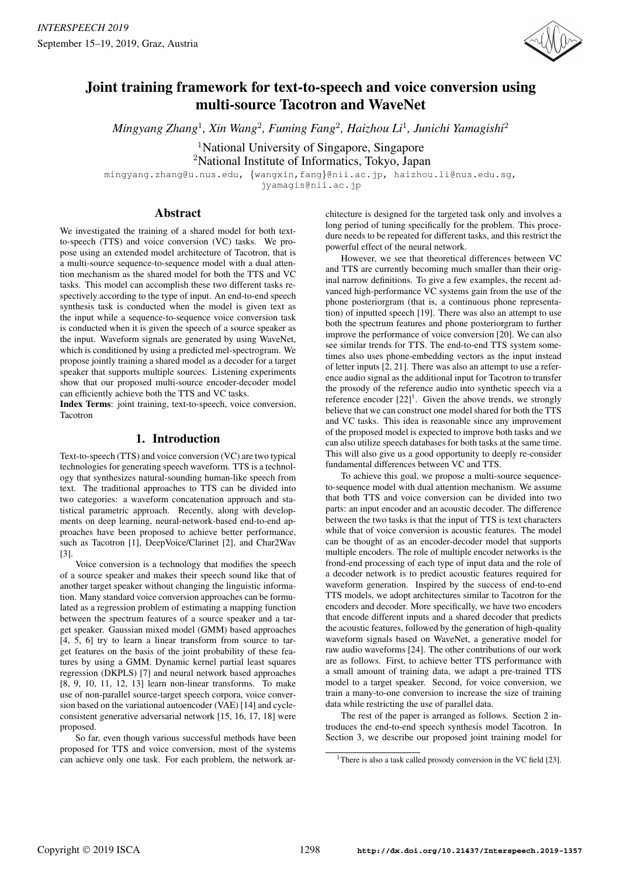

# Joint training framework for text-to-speech and voice conversion using multi-source Tacotron and WaveNet

*Mingyang Zhang*<sup>1</sup>*, Xin Wang*<sup>2</sup>*, Fuming Fang*<sup>2</sup>*, Haizhou Li*<sup>1</sup>*, Junichi Yamagishi*<sup>2</sup>

<sup>1</sup>National University of Singapore, Singapore

<sup>2</sup>National Institute of Informatics, Tokyo, Japan

mingyang.zhang@u.nus.edu, {wangxin,fang}@nii.ac.jp, haizhou.li@nus.edu.sg, jyamagis@nii.ac.jp

### Abstract

We investigated the training of a shared model for both textto-speech (TTS) and voice conversion (VC) tasks. We propose using an extended model architecture of Tacotron, that is a multi-source sequence-to-sequence model with a dual attention mechanism as the shared model for both the TTS and VC tasks. This model can accomplish these two different tasks respectively according to the type of input. An end-to-end speech synthesis task is conducted when the model is given text as the input while a sequence-to-sequence voice conversion task is conducted when it is given the speech of a source speaker as the input. Waveform signals are generated by using WaveNet, which is conditioned by using a predicted mel-spectrogram. We propose jointly training a shared model as a decoder for a target speaker that supports multiple sources. Listening experiments show that our proposed multi-source encoder-decoder model can efficiently achieve both the TTS and VC tasks.

Index Terms: joint training, text-to-speech, voice conversion, Tacotron

## 1. Introduction

Text-to-speech (TTS) and voice conversion (VC) are two typical technologies for generating speech waveform. TTS is a technology that synthesizes natural-sounding human-like speech from text. The traditional approaches to TTS can be divided into two categories: a waveform concatenation approach and statistical parametric approach. Recently, along with developments on deep learning, neural-network-based end-to-end approaches have been proposed to achieve better performance, such as Tacotron [1], DeepVoice/Clarinet [2], and Char2Wav [3].

Voice conversion is a technology that modifies the speech of a source speaker and makes their speech sound like that of another target speaker without changing the linguistic information. Many standard voice conversion approaches can be formulated as a regression problem of estimating a mapping function between the spectrum features of a source speaker and a target speaker. Gaussian mixed model (GMM) based approaches [4, 5, 6] try to learn a linear transform from source to target features on the basis of the joint probability of these features by using a GMM. Dynamic kernel partial least squares regression (DKPLS) [7] and neural network based approaches [8, 9, 10, 11, 12, 13] learn non-linear transforms. To make use of non-parallel source-target speech corpora, voice conversion based on the variational autoencoder (VAE) [14] and cycleconsistent generative adversarial network [15, 16, 17, 18] were proposed.

So far, even though various successful methods have been proposed for TTS and voice conversion, most of the systems can achieve only one task. For each problem, the network architecture is designed for the targeted task only and involves a long period of tuning specifically for the problem. This procedure needs to be repeated for different tasks, and this restrict the powerful effect of the neural network.

However, we see that theoretical differences between VC and TTS are currently becoming much smaller than their original narrow definitions. To give a few examples, the recent advanced high-performance VC systems gain from the use of the phone posteriorgram (that is, a continuous phone representation) of inputted speech [19]. There was also an attempt to use both the spectrum features and phone posteriorgram to further improve the performance of voice conversion [20]. We can also see similar trends for TTS. The end-to-end TTS system sometimes also uses phone-embedding vectors as the input instead of letter inputs [2, 21]. There was also an attempt to use a reference audio signal as the additional input for Tacotron to transfer the prosody of the reference audio into synthetic speech via a reference encoder  $[22]$ <sup>1</sup>. Given the above trends, we strongly believe that we can construct one model shared for both the TTS and VC tasks. This idea is reasonable since any improvement of the proposed model is expected to improve both tasks and we can also utilize speech databases for both tasks at the same time. This will also give us a good opportunity to deeply re-consider fundamental differences between VC and TTS.

To achieve this goal, we propose a multi-source sequenceto-sequence model with dual attention mechanism. We assume that both TTS and voice conversion can be divided into two parts: an input encoder and an acoustic decoder. The difference between the two tasks is that the input of TTS is text characters while that of voice conversion is acoustic features. The model can be thought of as an encoder-decoder model that supports multiple encoders. The role of multiple encoder networks is the frond-end processing of each type of input data and the role of a decoder network is to predict acoustic features required for waveform generation. Inspired by the success of end-to-end TTS models, we adopt architectures similar to Tacotron for the encoders and decoder. More specifically, we have two encoders that encode different inputs and a shared decoder that predicts the acoustic features, followed by the generation of high-quality waveform signals based on WaveNet, a generative model for raw audio waveforms [24]. The other contributions of our work are as follows. First, to achieve better TTS performance with a small amount of training data, we adapt a pre-trained TTS model to a target speaker. Second, for voice conversion, we train a many-to-one conversion to increase the size of training data while restricting the use of parallel data.

The rest of the paper is arranged as follows. Section 2 introduces the end-to-end speech synthesis model Tacotron. In Section 3, we describe our proposed joint training model for

<sup>&</sup>lt;sup>1</sup>There is also a task called prosody conversion in the VC field [23].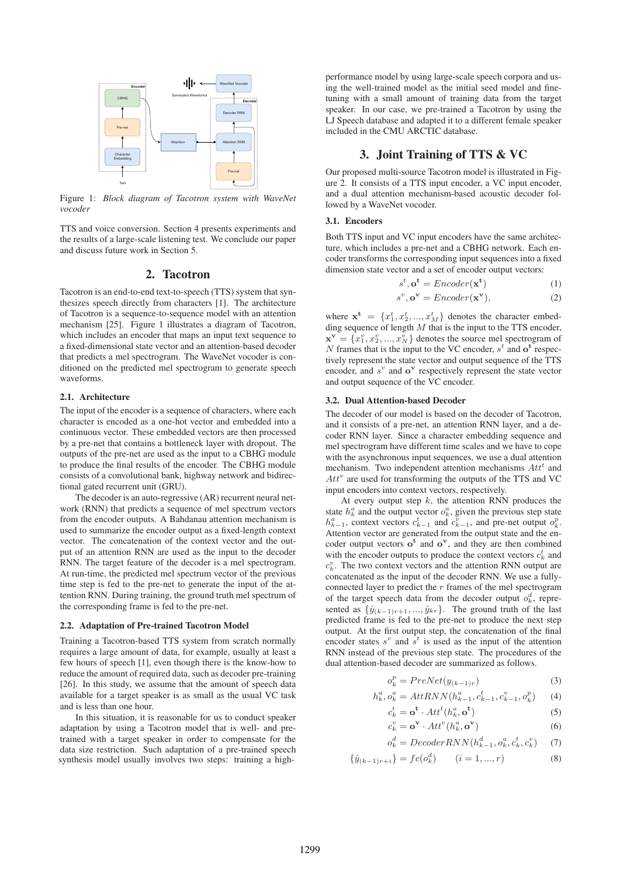

Figure 1: *Block diagram of Tacotron system with WaveNet vocoder*

TTS and voice conversion. Section 4 presents experiments and the results of a large-scale listening test. We conclude our paper and discuss future work in Section 5.

### 2. Tacotron

Tacotron is an end-to-end text-to-speech (TTS) system that synthesizes speech directly from characters [1]. The architecture of Tacotron is a sequence-to-sequence model with an attention mechanism [25]. Figure 1 illustrates a diagram of Tacotron, which includes an encoder that maps an input text sequence to a fixed-dimensional state vector and an attention-based decoder that predicts a mel spectrogram. The WaveNet vocoder is conditioned on the predicted mel spectrogram to generate speech waveforms.

#### 2.1. Architecture

The input of the encoder is a sequence of characters, where each character is encoded as a one-hot vector and embedded into a continuous vector. These embedded vectors are then processed by a pre-net that contains a bottleneck layer with dropout. The outputs of the pre-net are used as the input to a CBHG module to produce the final results of the encoder. The CBHG module consists of a convolutional bank, highway network and bidirectional gated recurrent unit (GRU).

The decoder is an auto-regressive (AR) recurrent neural network (RNN) that predicts a sequence of mel spectrum vectors from the encoder outputs. A Bahdanau attention mechanism is used to summarize the encoder output as a fixed-length context vector. The concatenation of the context vector and the output of an attention RNN are used as the input to the decoder RNN. The target feature of the decoder is a mel spectrogram. At run-time, the predicted mel spectrum vector of the previous time step is fed to the pre-net to generate the input of the attention RNN. During training, the ground truth mel spectrum of the corresponding frame is fed to the pre-net.

#### 2.2. Adaptation of Pre-trained Tacotron Model

Training a Tacotron-based TTS system from scratch normally requires a large amount of data, for example, usually at least a few hours of speech [1], even though there is the know-how to reduce the amount of required data, such as decoder pre-training [26]. In this study, we assume that the amount of speech data available for a target speaker is as small as the usual VC task and is less than one hour.

In this situation, it is reasonable for us to conduct speaker adaptation by using a Tacotron model that is well- and pretrained with a target speaker in order to compensate for the data size restriction. Such adaptation of a pre-trained speech synthesis model usually involves two steps: training a highperformance model by using large-scale speech corpora and using the well-trained model as the initial seed model and finetuning with a small amount of training data from the target speaker. In our case, we pre-trained a Tacotron by using the LJ Speech database and adapted it to a different female speaker included in the CMU ARCTIC database.

### 3. Joint Training of TTS & VC

Our proposed multi-source Tacotron model is illustrated in Figure 2. It consists of a TTS input encoder, a VC input encoder, and a dual attention mechanism-based acoustic decoder followed by a WaveNet vocoder.

### 3.1. Encoders

Both TTS input and VC input encoders have the same architecture, which includes a pre-net and a CBHG network. Each encoder transforms the corresponding input sequences into a fixed dimension state vector and a set of encoder output vectors:

$$
s^t, \mathbf{o^t} =Encoder(\mathbf{x^t})
$$
 (1)

$$
s^{\nu}, \mathbf{o}^{\mathbf{v}} =Encoder(\mathbf{x}^{\mathbf{v}}),\tag{2}
$$

where  $\mathbf{x}^t = \{x_1^t, x_2^t, ..., x_M^t\}$  denotes the character embedding sequence of length  $M$  that is the input to the TTS encoder,  $\mathbf{x}^{\mathbf{v}} = \{x_1^v, x_2^v, ..., x_N^v\}$  denotes the source mel spectrogram of N frames that is the input to the VC encoder,  $s^t$  and  $o^t$  respectively represent the state vector and output sequence of the TTS encoder, and  $s^v$  and  $\mathbf{o}^v$  respectively represent the state vector and output sequence of the VC encoder.

#### 3.2. Dual Attention-based Decoder

The decoder of our model is based on the decoder of Tacotron, and it consists of a pre-net, an attention RNN layer, and a decoder RNN layer. Since a character embedding sequence and mel spectrogram have different time scales and we have to cope with the asynchronous input sequences, we use a dual attention mechanism. Two independent attention mechanisms  $Att<sup>t</sup>$  and  $Att<sup>v</sup>$  are used for transforming the outputs of the TTS and VC input encoders into context vectors, respectively.

At every output step  $k$ , the attention RNN produces the state  $h_k^a$  and the output vector  $o_k^a$ , given the previous step state  $h_{k-1}^a$ , context vectors  $c_{k-1}^t$  and  $c_{k-1}^v$ , and pre-net output  $o_k^p$ . Attention vector are generated from the output state and the encoder output vectors **o<sup>t</sup>** and **o<sup>v</sup>**, and they are then combined with the encoder outputs to produce the context vectors  $c_k^t$  and  $c_k^v$ . The two context vectors and the attention RNN output are concatenated as the input of the decoder RNN. We use a fullyconnected layer to predict the  $r$  frames of the mel spectrogram of the target speech data from the decoder output  $o_k^d$ , represented as  $\{\hat{y}_{(k-1)r+1}, ..., \hat{y}_{kr}\}.$  The ground truth of the last predicted frame is fed to the pre-net to produce the next step output. At the first output step, the concatenation of the final encoder states  $s^v$  and  $s^t$  is used as the input of the attention RNN instead of the previous step state. The procedures of the dual attention-based decoder are summarized as follows.

$$
o_k^p = PreNet(y_{(k-1)r})
$$
\n(3)

$$
h_k^a, o_k^a = AttRNN(h_{k-1}^a, c_{k-1}^t, c_{k-1}^v, o_k^p)
$$
 (4)

$$
c_k^t = \mathbf{o}^{\mathbf{t}} \cdot Att^t(h_k^a, \mathbf{o}^{\mathbf{t}})
$$
 (5)

$$
c_k^v = \mathbf{o}^{\mathbf{v}} \cdot Att^v(h_k^a, \mathbf{o}^{\mathbf{v}})
$$
 (6)

$$
o_k^d = DecoderRNN(h_{k-1}^d, o_k^a, c_k^t, c_k^v) \tag{7}
$$

$$
\{\hat{y}_{(k-1)r+i}\} = fc(o_k^d) \qquad (i = 1, ..., r)
$$
\n(8)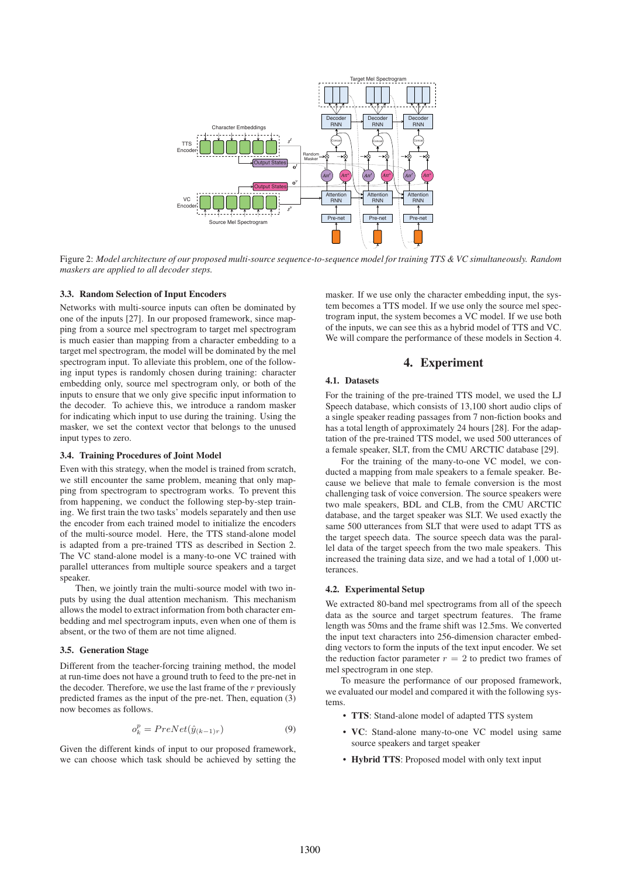

Figure 2: *Model architecture of our proposed multi-source sequence-to-sequence model for training TTS & VC simultaneously. Random maskers are applied to all decoder steps.*

### 3.3. Random Selection of Input Encoders

Networks with multi-source inputs can often be dominated by one of the inputs [27]. In our proposed framework, since mapping from a source mel spectrogram to target mel spectrogram is much easier than mapping from a character embedding to a target mel spectrogram, the model will be dominated by the mel spectrogram input. To alleviate this problem, one of the following input types is randomly chosen during training: character embedding only, source mel spectrogram only, or both of the inputs to ensure that we only give specific input information to the decoder. To achieve this, we introduce a random masker for indicating which input to use during the training. Using the masker, we set the context vector that belongs to the unused input types to zero.

#### 3.4. Training Procedures of Joint Model

Even with this strategy, when the model is trained from scratch, we still encounter the same problem, meaning that only mapping from spectrogram to spectrogram works. To prevent this from happening, we conduct the following step-by-step training. We first train the two tasks' models separately and then use the encoder from each trained model to initialize the encoders of the multi-source model. Here, the TTS stand-alone model is adapted from a pre-trained TTS as described in Section 2. The VC stand-alone model is a many-to-one VC trained with parallel utterances from multiple source speakers and a target speaker.

Then, we jointly train the multi-source model with two inputs by using the dual attention mechanism. This mechanism allows the model to extract information from both character embedding and mel spectrogram inputs, even when one of them is absent, or the two of them are not time aligned.

#### 3.5. Generation Stage

Different from the teacher-forcing training method, the model at run-time does not have a ground truth to feed to the pre-net in the decoder. Therefore, we use the last frame of the  $r$  previously predicted frames as the input of the pre-net. Then, equation (3) now becomes as follows.

$$
o_k^p = PreNet(\hat{y}_{(k-1)r})
$$
\n(9)

Given the different kinds of input to our proposed framework, we can choose which task should be achieved by setting the

masker. If we use only the character embedding input, the system becomes a TTS model. If we use only the source mel spectrogram input, the system becomes a VC model. If we use both of the inputs, we can see this as a hybrid model of TTS and VC. We will compare the performance of these models in Section 4.

### 4. Experiment

### 4.1. Datasets

For the training of the pre-trained TTS model, we used the LJ Speech database, which consists of 13,100 short audio clips of a single speaker reading passages from 7 non-fiction books and has a total length of approximately 24 hours [28]. For the adaptation of the pre-trained TTS model, we used 500 utterances of a female speaker, SLT, from the CMU ARCTIC database [29].

For the training of the many-to-one VC model, we conducted a mapping from male speakers to a female speaker. Because we believe that male to female conversion is the most challenging task of voice conversion. The source speakers were two male speakers, BDL and CLB, from the CMU ARCTIC database, and the target speaker was SLT. We used exactly the same 500 utterances from SLT that were used to adapt TTS as the target speech data. The source speech data was the parallel data of the target speech from the two male speakers. This increased the training data size, and we had a total of 1,000 utterances.

#### 4.2. Experimental Setup

We extracted 80-band mel spectrograms from all of the speech data as the source and target spectrum features. The frame length was 50ms and the frame shift was 12.5ms. We converted the input text characters into 256-dimension character embedding vectors to form the inputs of the text input encoder. We set the reduction factor parameter  $r = 2$  to predict two frames of mel spectrogram in one step.

To measure the performance of our proposed framework, we evaluated our model and compared it with the following systems.

- TTS: Stand-alone model of adapted TTS system
- VC: Stand-alone many-to-one VC model using same source speakers and target speaker
- Hybrid TTS: Proposed model with only text input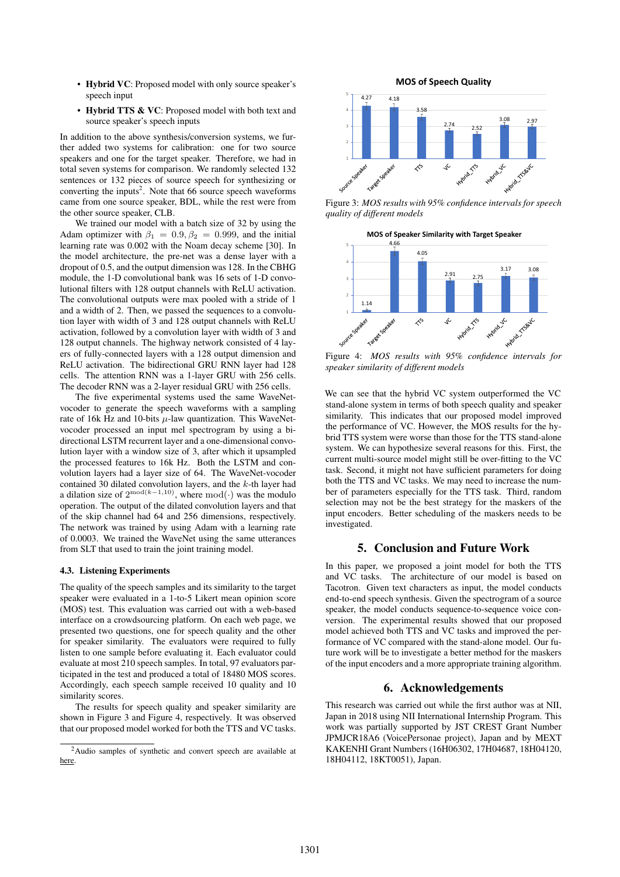- Hybrid VC: Proposed model with only source speaker's speech input
- Hybrid TTS & VC: Proposed model with both text and source speaker's speech inputs

In addition to the above synthesis/conversion systems, we further added two systems for calibration: one for two source speakers and one for the target speaker. Therefore, we had in total seven systems for comparison. We randomly selected 132 sentences or 132 pieces of source speech for synthesizing or converting the inputs<sup>2</sup>. Note that 66 source speech waveforms came from one source speaker, BDL, while the rest were from the other source speaker, CLB.

We trained our model with a batch size of 32 by using the Adam optimizer with  $\beta_1 = 0.9, \beta_2 = 0.999$ , and the initial learning rate was 0.002 with the Noam decay scheme [30]. In the model architecture, the pre-net was a dense layer with a dropout of 0.5, and the output dimension was 128. In the CBHG module, the 1-D convolutional bank was 16 sets of 1-D convolutional filters with 128 output channels with ReLU activation. The convolutional outputs were max pooled with a stride of 1 and a width of 2. Then, we passed the sequences to a convolution layer with width of 3 and 128 output channels with ReLU activation, followed by a convolution layer with width of 3 and 128 output channels. The highway network consisted of 4 layers of fully-connected layers with a 128 output dimension and ReLU activation. The bidirectional GRU RNN layer had 128 cells. The attention RNN was a 1-layer GRU with 256 cells. The decoder RNN was a 2-layer residual GRU with 256 cells.

The five experimental systems used the same WaveNetvocoder to generate the speech waveforms with a sampling rate of 16k Hz and 10-bits  $\mu$ -law quantization. This WaveNetvocoder processed an input mel spectrogram by using a bidirectional LSTM recurrent layer and a one-dimensional convolution layer with a window size of 3, after which it upsampled the processed features to 16k Hz. Both the LSTM and convolution layers had a layer size of 64. The WaveNet-vocoder contained 30 dilated convolution layers, and the  $k$ -th layer had a dilation size of  $2^{\text{mod}(k-1,10)}$ , where mod(·) was the modulo operation. The output of the dilated convolution layers and that of the skip channel had 64 and 256 dimensions, respectively. The network was trained by using Adam with a learning rate of 0.0003. We trained the WaveNet using the same utterances from SLT that used to train the joint training model.

### 4.3. Listening Experiments

The quality of the speech samples and its similarity to the target speaker were evaluated in a 1-to-5 Likert mean opinion score (MOS) test. This evaluation was carried out with a web-based interface on a crowdsourcing platform. On each web page, we presented two questions, one for speech quality and the other for speaker similarity. The evaluators were required to fully listen to one sample before evaluating it. Each evaluator could evaluate at most 210 speech samples. In total, 97 evaluators participated in the test and produced a total of 18480 MOS scores. Accordingly, each speech sample received 10 quality and 10 similarity scores.

The results for speech quality and speaker similarity are shown in Figure 3 and Figure 4, respectively. It was observed that our proposed model worked for both the TTS and VC tasks.





Figure 3: *MOS results with 95% confidence intervals for speech quality of different models*



*speaker similarity of different models*

We can see that the hybrid VC system outperformed the VC stand-alone system in terms of both speech quality and speaker similarity. This indicates that our proposed model improved the performance of VC. However, the MOS results for the hybrid TTS system were worse than those for the TTS stand-alone system. We can hypothesize several reasons for this. First, the current multi-source model might still be over-fitting to the VC task. Second, it might not have sufficient parameters for doing both the TTS and VC tasks. We may need to increase the number of parameters especially for the TTS task. Third, random selection may not be the best strategy for the maskers of the input encoders. Better scheduling of the maskers needs to be investigated.

### 5. Conclusion and Future Work

In this paper, we proposed a joint model for both the TTS and VC tasks. The architecture of our model is based on Tacotron. Given text characters as input, the model conducts end-to-end speech synthesis. Given the spectrogram of a source speaker, the model conducts sequence-to-sequence voice conversion. The experimental results showed that our proposed model achieved both TTS and VC tasks and improved the performance of VC compared with the stand-alone model. Our future work will be to investigate a better method for the maskers of the input encoders and a more appropriate training algorithm.

### 6. Acknowledgements

This research was carried out while the first author was at NII, Japan in 2018 using NII International Internship Program. This work was partially supported by JST CREST Grant Number JPMJCR18A6 (VoicePersonae project), Japan and by MEXT KAKENHI Grant Numbers (16H06302, 17H04687, 18H04120, 18H04112, 18KT0051), Japan.

<sup>2</sup>Audio samples of synthetic and convert speech are available at here.